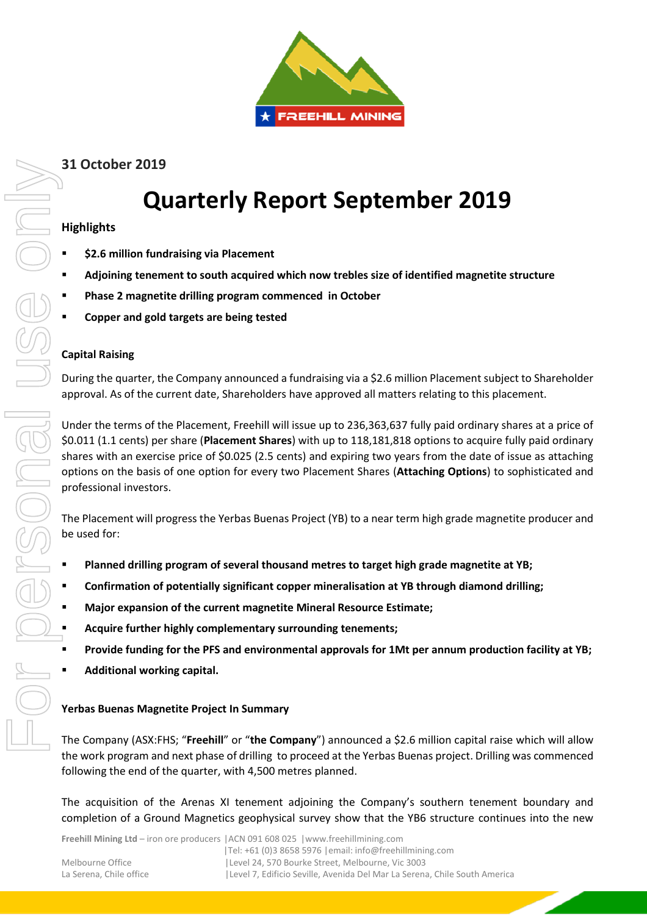

# **31 October 2019**

# **Quarterly Report September 2019**

## **Highlights**

- **\$2.6 million fundraising via Placement**
- **Adjoining tenement to south acquired which now trebles size of identified magnetite structure**
- **Phase 2 magnetite drilling program commenced in October**
- **Copper and gold targets are being tested**

### **Capital Raising**

During the quarter, the Company announced a fundraising via a \$2.6 million Placement subject to Shareholder approval. As of the current date, Shareholders have approved all matters relating to this placement.

Under the terms of the Placement, Freehill will issue up to 236,363,637 fully paid ordinary shares at a price of \$0.011 (1.1 cents) per share (**Placement Shares**) with up to 118,181,818 options to acquire fully paid ordinary shares with an exercise price of \$0.025 (2.5 cents) and expiring two years from the date of issue as attaching options on the basis of one option for every two Placement Shares (**Attaching Options**) to sophisticated and professional investors. **Completion of a Ground Magnetics and Associates** and the new Associates are of dentified magnetite structure<br>  $\bullet$  Adjoining tenement to south acquired which now trobles size of identified magnetite structure<br>  $\bullet$  Copie

The Placement will progress the Yerbas Buenas Project (YB) to a near term high grade magnetite producer and be used for:

- **Planned drilling program of several thousand metres to target high grade magnetite at YB;**
- **Confirmation of potentially significant copper mineralisation at YB through diamond drilling;**
- **Major expansion of the current magnetite Mineral Resource Estimate;**
- **Acquire further highly complementary surrounding tenements;**
- **Provide funding for the PFS and environmental approvals for 1Mt per annum production facility at YB;**
- **Additional working capital.**

#### **Yerbas Buenas Magnetite Project In Summary**

The Company (ASX:FHS; "**Freehill**" or "**the Company**") announced a \$2.6 million capital raise which will allow the work program and next phase of drilling to proceed at the Yerbas Buenas project. Drilling was commenced following the end of the quarter, with 4,500 metres planned.

The acquisition of the Arenas XI tenement adjoining the Company's southern tenement boundary and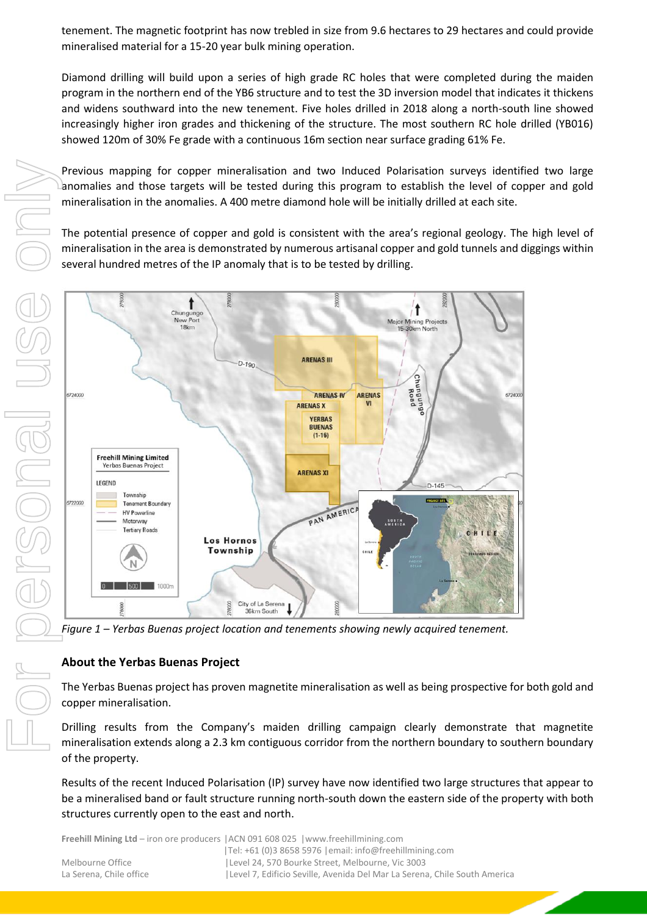tenement. The magnetic footprint has now trebled in size from 9.6 hectares to 29 hectares and could provide mineralised material for a 15-20 year bulk mining operation.

Diamond drilling will build upon a series of high grade RC holes that were completed during the maiden program in the northern end of the YB6 structure and to test the 3D inversion model that indicates it thickens and widens southward into the new tenement. Five holes drilled in 2018 along a north-south line showed increasingly higher iron grades and thickening of the structure. The most southern RC hole drilled (YB016) showed 120m of 30% Fe grade with a continuous 16m section near surface grading 61% Fe.

Previous mapping for copper mineralisation and two Induced Polarisation surveys identified two large anomalies and those targets will be tested during this program to establish the level of copper and gold mineralisation in the anomalies. A 400 metre diamond hole will be initially drilled at each site.

The potential presence of copper and gold is consistent with the area's regional geology. The high level of mineralisation in the area is demonstrated by numerous artisanal copper and gold tunnels and diggings within several hundred metres of the IP anomaly that is to be tested by drilling.



*Figure 1 – Yerbas Buenas project location and tenements showing newly acquired tenement.*

#### **About the Yerbas Buenas Project**

The Yerbas Buenas project has proven magnetite mineralisation as well as being prospective for both gold and copper mineralisation.

Drilling results from the Company's maiden drilling campaign clearly demonstrate that magnetite mineralisation extends along a 2.3 km contiguous corridor from the northern boundary to southern boundary of the property.

Results of the recent Induced Polarisation (IP) survey have now identified two large structures that appear to be a mineralised band or fault structure running north-south down the eastern side of the property with both

**Freehill Mining Ltd** – iron ore producers |ACN 091 608 025 |www.freehillmining.com |Tel: +61 (0)3 8658 5976 |email: info@freehillmining.com Melbourne Office |Level 24, 570 Bourke Street, Melbourne, Vic 3003 La Serena, Chile office | Level 7, Edificio Seville, Avenida Del Mar La Serena, Chile South America